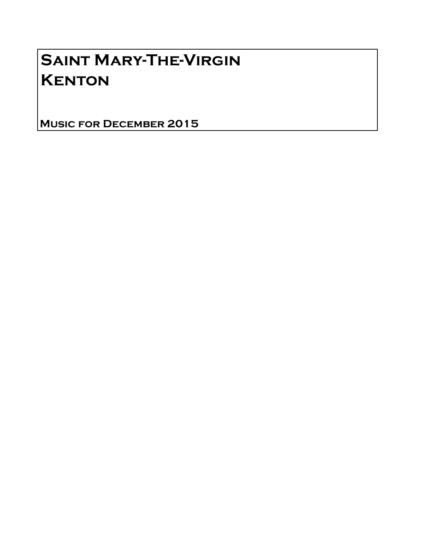# Saint Mary-The-Virgin **KENTON**

Music for December 2015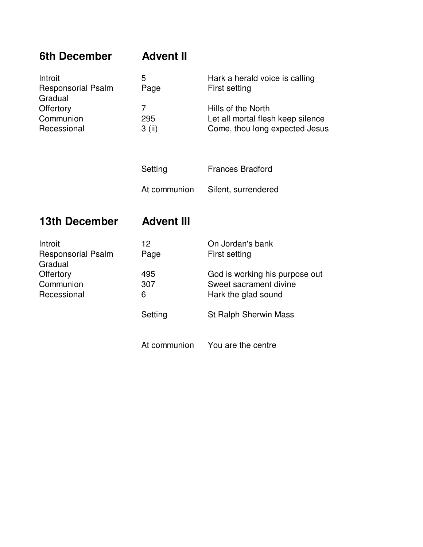| 6th December                                                                             | <b>Advent II</b>                  |                                                                                           |
|------------------------------------------------------------------------------------------|-----------------------------------|-------------------------------------------------------------------------------------------|
| Introit<br><b>Responsorial Psalm</b><br>Gradual                                          | 5<br>Page                         | Hark a herald voice is calling<br>First setting                                           |
| Offertory<br>Communion<br>Recessional                                                    | $\overline{7}$<br>295<br>$3$ (ii) | Hills of the North<br>Let all mortal flesh keep silence<br>Come, thou long expected Jesus |
|                                                                                          | Setting                           | <b>Frances Bradford</b>                                                                   |
|                                                                                          | At communion                      | Silent, surrendered                                                                       |
| <b>13th December</b>                                                                     | <b>Advent III</b>                 |                                                                                           |
| Introit<br><b>Responsorial Psalm</b><br>Gradual<br>Offertory<br>Communion<br>Recessional | 12 <sup>2</sup><br>Page           | On Jordan's bank<br><b>First setting</b>                                                  |
|                                                                                          | 495<br>307<br>6                   | God is working his purpose out<br>Sweet sacrament divine<br>Hark the glad sound           |
|                                                                                          | Setting                           | <b>St Ralph Sherwin Mass</b>                                                              |
|                                                                                          |                                   |                                                                                           |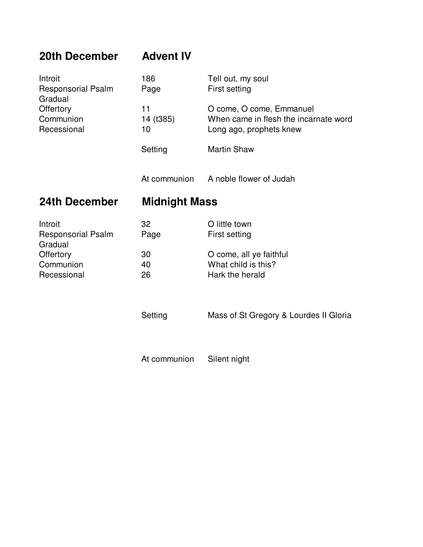| 20th December                                                                            | <b>Advent IV</b>      |                                                                                              |  |
|------------------------------------------------------------------------------------------|-----------------------|----------------------------------------------------------------------------------------------|--|
| Introit<br><b>Responsorial Psalm</b><br>Gradual<br>Offertory<br>Communion<br>Recessional | 186<br>Page           | Tell out, my soul<br>First setting                                                           |  |
|                                                                                          | 11<br>14 (t385)<br>10 | O come, O come, Emmanuel<br>When came in flesh the incarnate word<br>Long ago, prophets knew |  |
|                                                                                          | Setting               | <b>Martin Shaw</b>                                                                           |  |
|                                                                                          | At communion          | A noble flower of Judah                                                                      |  |
| 24th December                                                                            | <b>Midnight Mass</b>  |                                                                                              |  |
|                                                                                          |                       |                                                                                              |  |
| Introit<br><b>Responsorial Psalm</b>                                                     | 32<br>Page            | O little town<br><b>First setting</b>                                                        |  |
| Gradual<br>Offertory<br>Communion<br>Recessional                                         | 30<br>40<br>26        | O come, all ye faithful<br>What child is this?<br>Hark the herald                            |  |
|                                                                                          | Setting               | Mass of St Gregory & Lourdes II Gloria                                                       |  |

At communion Silent night